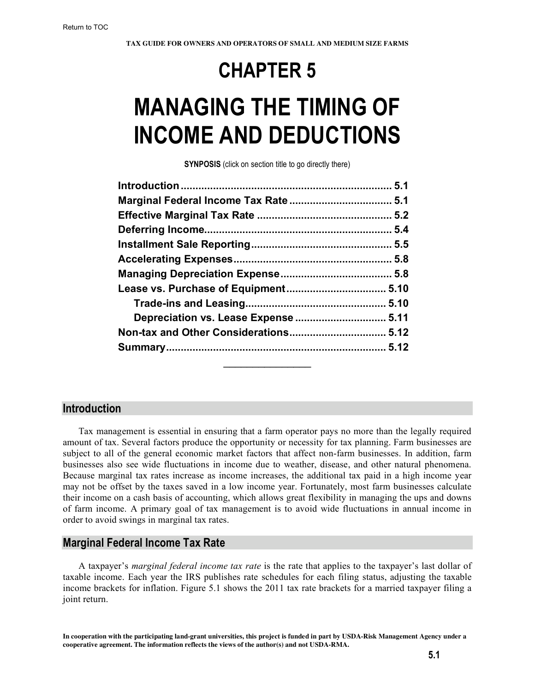# **CHAPTER 5**

# **MANAGING THE TIMING OF INCOME AND DEDUCTIONS**

**SYNPOSIS** (click on section title to go directly there)

#### **Introduction**

Tax management is essential in ensuring that a farm operator pays no more than the legally required amount of tax. Several factors produce the opportunity or necessity for tax planning. Farm businesses are subject to all of the general economic market factors that affect non-farm businesses. In addition, farm businesses also see wide fluctuations in income due to weather, disease, and other natural phenomena. Because marginal tax rates increase as income increases, the additional tax paid in a high income year may not be offset by the taxes saved in a low income year. Fortunately, most farm businesses calculate their income on a cash basis of accounting, which allows great flexibility in managing the ups and downs of farm income. A primary goal of tax management is to avoid wide fluctuations in annual income in order to avoid swings in marginal tax rates.

# **Marginal Federal Income Tax Rate**

A taxpayer's *marginal federal income tax rate* is the rate that applies to the taxpayer's last dollar of taxable income. Each year the IRS publishes rate schedules for each filing status, adjusting the taxable income brackets for inflation. Figure 5.1 shows the 2011 tax rate brackets for a married taxpayer filing a joint return.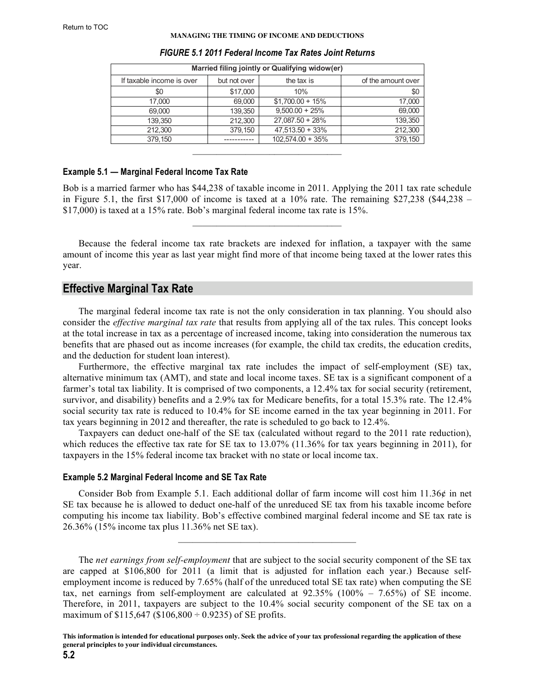#### **MANAGING THE TIMING OF INCOME AND DEDUCTIONS**

<span id="page-1-0"></span>

| Married filing jointly or Qualifying widow(er) |              |                     |                    |
|------------------------------------------------|--------------|---------------------|--------------------|
| If taxable income is over                      | but not over | the tax is          | of the amount over |
| \$0                                            | \$17,000     | 10%                 | \$0                |
| 17,000                                         | 69,000       | $$1,700.00 + 15\%$  | 17,000             |
| 69,000                                         | 139,350      | $9,500.00 + 25%$    | 69,000             |
| 139,350                                        | 212,300      | $27,087.50 + 28%$   | 139,350            |
| 212,300                                        | 379,150      | $47,513.50 + 33\%$  | 212,300            |
| 379.150                                        |              | $102.574.00 + 35\%$ | 379,150            |
|                                                |              |                     |                    |

#### *FIGURE 5.1 2011 Federal Income Tax Rates Joint Returns*

#### **Example 5.1 — Marginal Federal Income Tax Rate**

Bob is a married farmer who has \$44,238 of taxable income in 2011. Applying the 2011 tax rate schedule in Figure 5.1, the first \$17,000 of income is taxed at a  $10\%$  rate. The remaining \$27,238 (\$44,238 – \$17,000) is taxed at a 15% rate. Bob's marginal federal income tax rate is 15%.

 $\mathcal{L}_\text{max}$  and  $\mathcal{L}_\text{max}$  and  $\mathcal{L}_\text{max}$  and  $\mathcal{L}_\text{max}$ 

Because the federal income tax rate brackets are indexed for inflation, a taxpayer with the same amount of income this year as last year might find more of that income being taxed at the lower rates this year.

# **Effective Marginal Tax Rate**

The marginal federal income tax rate is not the only consideration in tax planning. You should also consider the *effective marginal tax rate* that results from applying all of the tax rules. This concept looks at the total increase in tax as a percentage of increased income, taking into consideration the numerous tax benefits that are phased out as income increases (for example, the child tax credits, the education credits, and the deduction for student loan interest).

Furthermore, the effective marginal tax rate includes the impact of self-employment (SE) tax, alternative minimum tax (AMT), and state and local income taxes. SE tax is a significant component of a farmer's total tax liability. It is comprised of two components, a 12.4% tax for social security (retirement, survivor, and disability) benefits and a 2.9% tax for Medicare benefits, for a total 15.3% rate. The 12.4% social security tax rate is reduced to 10.4% for SE income earned in the tax year beginning in 2011. For tax years beginning in 2012 and thereafter, the rate is scheduled to go back to 12.4%.

Taxpayers can deduct one-half of the SE tax (calculated without regard to the 2011 rate reduction), which reduces the effective tax rate for SE tax to 13.07% (11.36% for tax years beginning in 2011), for taxpayers in the 15% federal income tax bracket with no state or local income tax.

#### **Example 5.2 Marginal Federal Income and SE Tax Rate**

Consider Bob from Example 5.1. Each additional dollar of farm income will cost him 11.36¢ in net SE tax because he is allowed to deduct one-half of the unreduced SE tax from his taxable income before computing his income tax liability. Bob's effective combined marginal federal income and SE tax rate is 26.36% (15% income tax plus 11.36% net SE tax).

 $\mathcal{L}_\text{max} = \mathcal{L}_\text{max} = \mathcal{L}_\text{max} = \mathcal{L}_\text{max} = \mathcal{L}_\text{max}$ 

The *net earnings from self-employment* that are subject to the social security component of the SE tax are capped at \$106,800 for 2011 (a limit that is adjusted for inflation each year.) Because selfemployment income is reduced by 7.65% (half of the unreduced total SE tax rate) when computing the SE tax, net earnings from self-employment are calculated at 92.35% (100% – 7.65%) of SE income. Therefore, in 2011, taxpayers are subject to the 10.4% social security component of the SE tax on a maximum of  $$115,647$  ( $$106,800 \div 0.9235$ ) of SE profits.

**This information is intended for educational purposes only. Seek the advice of your tax professional regarding the application of these general principles to your individual circumstances.**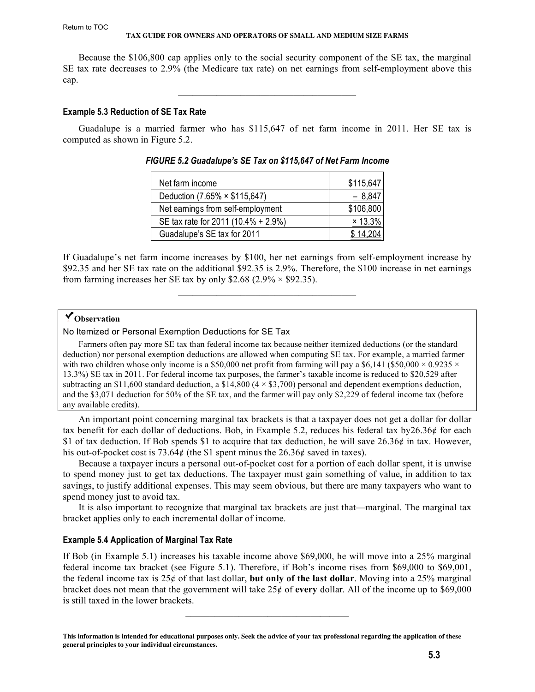#### Return to TOC

#### **TAX GUIDE FOR OWNERS AND OPERATORS OF SMALL AND MEDIUM SIZE FARMS**

Because the \$106,800 cap applies only to the social security component of the SE tax, the marginal SE tax rate decreases to 2.9% (the Medicare tax rate) on net earnings from self-employment above this cap.

 $\mathcal{L}_\text{max} = \mathcal{L}_\text{max} = \mathcal{L}_\text{max} = \mathcal{L}_\text{max} = \mathcal{L}_\text{max}$ 

#### **Example 5.3 Reduction of SE Tax Rate**

Guadalupe is a married farmer who has \$115,647 of net farm income in 2011. Her SE tax is computed as shown in Figure 5.2.

| Net farm income                     | \$115,647 |
|-------------------------------------|-----------|
| Deduction (7.65% × \$115,647)       | $-8,84$   |
| Net earnings from self-employment   | \$106,800 |
| SE tax rate for 2011 (10.4% + 2.9%) | × 13.3%   |
| Guadalupe's SE tax for 2011         |           |

*FIGURE 5.2 Guadalupe's SE Tax on \$115,647 of Net Farm Income*

If Guadalupe's net farm income increases by \$100, her net earnings from self-employment increase by \$92.35 and her SE tax rate on the additional \$92.35 is 2.9%. Therefore, the \$100 increase in net earnings from farming increases her SE tax by only \$2.68 (2.9%  $\times$  \$92.35).

 $\mathcal{L}_\text{max} = \mathcal{L}_\text{max} = \mathcal{L}_\text{max} = \mathcal{L}_\text{max} = \mathcal{L}_\text{max}$ 

# **Observation**

No Itemized or Personal Exemption Deductions for SE Tax

Farmers often pay more SE tax than federal income tax because neither itemized deductions (or the standard deduction) nor personal exemption deductions are allowed when computing SE tax. For example, a married farmer with two children whose only income is a \$50,000 net profit from farming will pay a \$6,141 (\$50,000  $\times$  0.9235  $\times$ 13.3%) SE tax in 2011. For federal income tax purposes, the farmer's taxable income is reduced to \$20,529 after subtracting an \$11,600 standard deduction, a \$14,800 ( $4 \times$  \$3,700) personal and dependent exemptions deduction, and the \$3,071 deduction for 50% of the SE tax, and the farmer will pay only \$2,229 of federal income tax (before any available credits).

An important point concerning marginal tax brackets is that a taxpayer does not get a dollar for dollar tax benefit for each dollar of deductions. Bob, in Example 5.2, reduces his federal tax by26.36¢ for each \$1 of tax deduction. If Bob spends \$1 to acquire that tax deduction, he will save  $26.36\phi$  in tax. However, his out-of-pocket cost is 73.64¢ (the \$1 spent minus the 26.36¢ saved in taxes).

Because a taxpayer incurs a personal out-of-pocket cost for a portion of each dollar spent, it is unwise to spend money just to get tax deductions. The taxpayer must gain something of value, in addition to tax savings, to justify additional expenses. This may seem obvious, but there are many taxpayers who want to spend money just to avoid tax.

It is also important to recognize that marginal tax brackets are just that—marginal. The marginal tax bracket applies only to each incremental dollar of income.

#### **Example 5.4 Application of Marginal Tax Rate**

If Bob (in Example 5.1) increases his taxable income above \$69,000, he will move into a 25% marginal federal income tax bracket (see Figure 5.1). Therefore, if Bob's income rises from \$69,000 to \$69,001, the federal income tax is 25¢ of that last dollar, **but only of the last dollar**. Moving into a 25% marginal bracket does not mean that the government will take 25¢ of **every** dollar. All of the income up to \$69,000 is still taxed in the lower brackets.

 $\overline{\phantom{a}}$  , which is a set of the set of the set of the set of the set of the set of the set of the set of the set of the set of the set of the set of the set of the set of the set of the set of the set of the set of th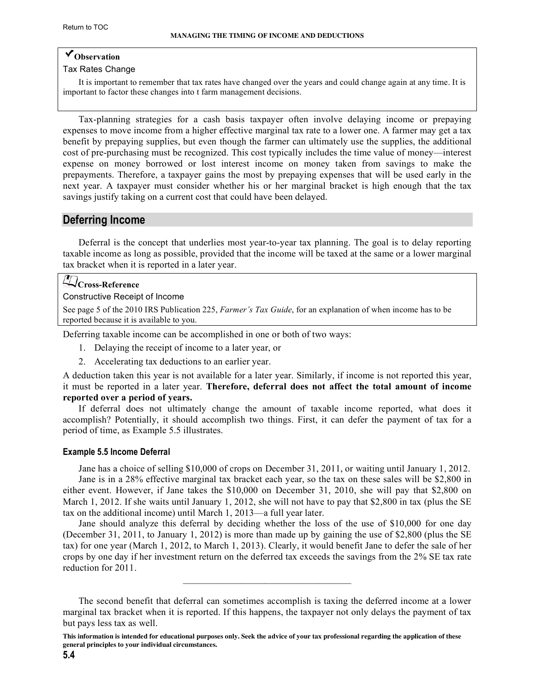# <span id="page-3-0"></span>**Observation**

#### Tax Rates Change

It is important to remember that tax rates have changed over the years and could change again at any time. It is important to factor these changes into t farm management decisions.

Tax-planning strategies for a cash basis taxpayer often involve delaying income or prepaying expenses to move income from a higher effective marginal tax rate to a lower one. A farmer may get a tax benefit by prepaying supplies, but even though the farmer can ultimately use the supplies, the additional cost of pre-purchasing must be recognized. This cost typically includes the time value of money—interest expense on money borrowed or lost interest income on money taken from savings to make the prepayments. Therefore, a taxpayer gains the most by prepaying expenses that will be used early in the next year. A taxpayer must consider whether his or her marginal bracket is high enough that the tax savings justify taking on a current cost that could have been delayed.

# **Deferring Income**

Deferral is the concept that underlies most year-to-year tax planning. The goal is to delay reporting taxable income as long as possible, provided that the income will be taxed at the same or a lower marginal tax bracket when it is reported in a later year.

#### **Cross-Reference**

#### Constructive Receipt of Income

See page 5 of the 2010 IRS Publication 225, *Farmer's Tax Guide*[, for an explanation of when income has to be](http://www.irs.gov/pub/irs-pdf/p225.pdf)  reported because it is available to you.

Deferring taxable income can be accomplished in one or both of two ways:

- 1. Delaying the receipt of income to a later year, or
- 2. Accelerating tax deductions to an earlier year.

A deduction taken this year is not available for a later year. Similarly, if income is not reported this year, it must be reported in a later year. **Therefore, deferral does not affect the total amount of income reported over a period of years.**

If deferral does not ultimately change the amount of taxable income reported, what does it accomplish? Potentially, it should accomplish two things. First, it can defer the payment of tax for a period of time, as Example 5.5 illustrates.

#### **Example 5.5 Income Deferral**

Jane has a choice of selling \$10,000 of crops on December 31, 2011, or waiting until January 1, 2012. Jane is in a 28% effective marginal tax bracket each year, so the tax on these sales will be \$2,800 in either event. However, if Jane takes the \$10,000 on December 31, 2010, she will pay that \$2,800 on March 1, 2012. If she waits until January 1, 2012, she will not have to pay that \$2,800 in tax (plus the SE tax on the additional income) until March 1, 2013—a full year later.

Jane should analyze this deferral by deciding whether the loss of the use of \$10,000 for one day (December 31, 2011, to January 1, 2012) is more than made up by gaining the use of \$2,800 (plus the SE tax) for one year (March 1, 2012, to March 1, 2013). Clearly, it would benefit Jane to defer the sale of her crops by one day if her investment return on the deferred tax exceeds the savings from the 2% SE tax rate reduction for 2011.

 $\mathcal{L}_\text{max}$  and the set of the set of the set of the set of the set of the set of the set of the set of the set of the set of the set of the set of the set of the set of the set of the set of the set of the set of the s

The second benefit that deferral can sometimes accomplish is taxing the deferred income at a lower marginal tax bracket when it is reported. If this happens, the taxpayer not only delays the payment of tax but pays less tax as well.

**This information is intended for educational purposes only. Seek the advice of your tax professional regarding the application of these general principles to your individual circumstances.**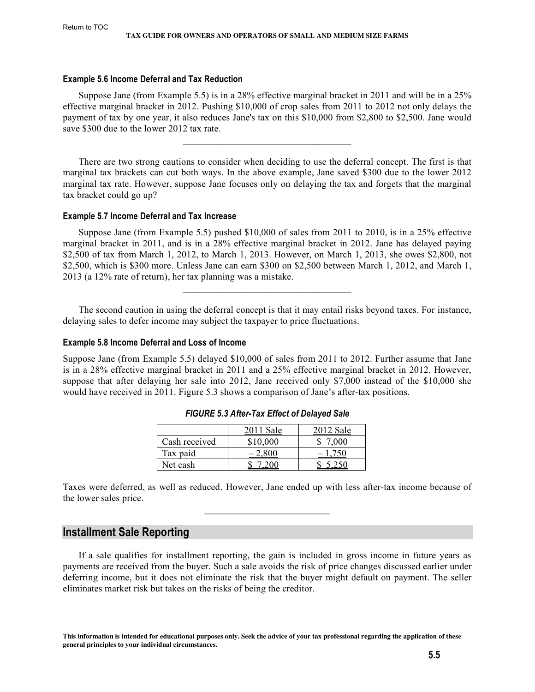#### <span id="page-4-0"></span>**Example 5.6 Income Deferral and Tax Reduction**

Suppose Jane (from Example 5.5) is in a 28% effective marginal bracket in 2011 and will be in a 25% effective marginal bracket in 2012. Pushing \$10,000 of crop sales from 2011 to 2012 not only delays the payment of tax by one year, it also reduces Jane's tax on this \$10,000 from \$2,800 to \$2,500. Jane would save \$300 due to the lower 2012 tax rate.

There are two strong cautions to consider when deciding to use the deferral concept. The first is that marginal tax brackets can cut both ways. In the above example, Jane saved \$300 due to the lower 2012 marginal tax rate. However, suppose Jane focuses only on delaying the tax and forgets that the marginal tax bracket could go up?

#### **Example 5.7 Income Deferral and Tax Increase**

Suppose Jane (from Example 5.5) pushed \$10,000 of sales from 2011 to 2010, is in a 25% effective marginal bracket in 2011, and is in a 28% effective marginal bracket in 2012. Jane has delayed paying \$2,500 of tax from March 1, 2012, to March 1, 2013. However, on March 1, 2013, she owes \$2,800, not \$2,500, which is \$300 more. Unless Jane can earn \$300 on \$2,500 between March 1, 2012, and March 1, 2013 (a 12% rate of return), her tax planning was a mistake.

The second caution in using the deferral concept is that it may entail risks beyond taxes. For instance, delaying sales to defer income may subject the taxpayer to price fluctuations.

 $\mathcal{L}_\text{max}$  and the set of the set of the set of the set of the set of the set of the set of the set of the set of the set of the set of the set of the set of the set of the set of the set of the set of the set of the s

#### **Example 5.8 Income Deferral and Loss of Income**

Suppose Jane (from Example 5.5) delayed \$10,000 of sales from 2011 to 2012. Further assume that Jane is in a 28% effective marginal bracket in 2011 and a 25% effective marginal bracket in 2012. However, suppose that after delaying her sale into 2012, Jane received only \$7,000 instead of the \$10,000 she would have received in 2011. Figure 5.3 shows a comparison of Jane's after-tax positions.

|               | $2011$ Sale | 2012 Sale |
|---------------|-------------|-----------|
| Cash received | \$10,000    | 7.000     |
| Tax paid      | $-2,$       |           |
| Net cash      |             |           |

Taxes were deferred, as well as reduced. However, Jane ended up with less after-tax income because of the lower sales price.  $\mathcal{L}_\text{max}$  and  $\mathcal{L}_\text{max}$  and  $\mathcal{L}_\text{max}$ 

#### **Installment Sale Reporting**

If a sale qualifies for installment reporting, the gain is included in gross income in future years as payments are received from the buyer. Such a sale avoids the risk of price changes discussed earlier under deferring income, but it does not eliminate the risk that the buyer might default on payment. The seller eliminates market risk but takes on the risks of being the creditor.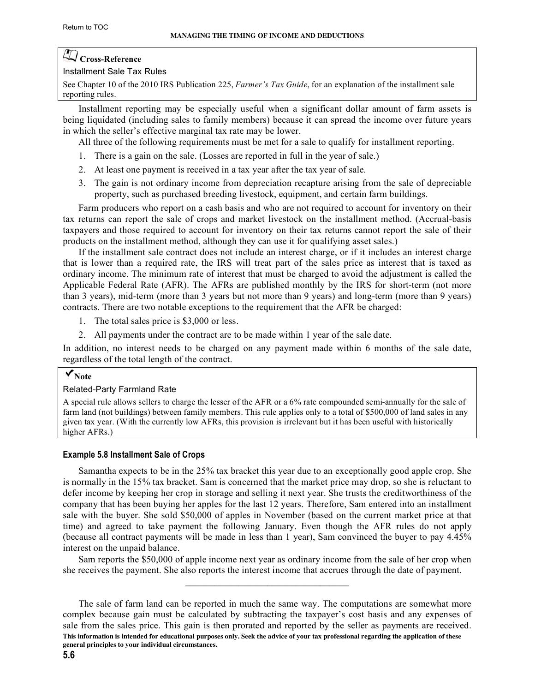# **Cross-Reference**

#### Installment Sale Tax Rules

[See Chapter 10 of the 2010 IRS Publication 225,](http://www.irs.gov/pub/irs-pdf/p225.pdf) *Farmer's Tax Guide*, for an explanation of the installment sale reporting rules.

Installment reporting may be especially useful when a significant dollar amount of farm assets is being liquidated (including sales to family members) because it can spread the income over future years in which the seller's effective marginal tax rate may be lower.

All three of the following requirements must be met for a sale to qualify for installment reporting.

- 1. There is a gain on the sale. (Losses are reported in full in the year of sale.)
- 2. At least one payment is received in a tax year after the tax year of sale.
- 3. The gain is not ordinary income from depreciation recapture arising from the sale of depreciable property, such as purchased breeding livestock, equipment, and certain farm buildings.

Farm producers who report on a cash basis and who are not required to account for inventory on their tax returns can report the sale of crops and market livestock on the installment method. (Accrual-basis taxpayers and those required to account for inventory on their tax returns cannot report the sale of their products on the installment method, although they can use it for qualifying asset sales.)

If the installment sale contract does not include an interest charge, or if it includes an interest charge that is lower than a required rate, the IRS will treat part of the sales price as interest that is taxed as ordinary income. The minimum rate of interest that must be charged to avoid the adjustment is called the Applicable Federal Rate (AFR). The AFRs are published monthly by the IRS for short-term (not more than 3 years), mid-term (more than 3 years but not more than 9 years) and long-term (more than 9 years) contracts. There are two notable exceptions to the requirement that the AFR be charged:

- 1. The total sales price is \$3,000 or less.
- 2. All payments under the contract are to be made within 1 year of the sale date.

In addition, no interest needs to be charged on any payment made within 6 months of the sale date, regardless of the total length of the contract.

# **Note**

#### Related-Party Farmland Rate

A special rule allows sellers to charge the lesser of the AFR or a 6% rate compounded semi-annually for the sale of farm land (not buildings) between family members. This rule applies only to a total of \$500,000 of land sales in any given tax year. (With the currently low AFRs, this provision is irrelevant but it has been useful with historically higher AFRs.)

#### **Example 5.8 Installment Sale of Crops**

Samantha expects to be in the 25% tax bracket this year due to an exceptionally good apple crop. She is normally in the 15% tax bracket. Sam is concerned that the market price may drop, so she is reluctant to defer income by keeping her crop in storage and selling it next year. She trusts the creditworthiness of the company that has been buying her apples for the last 12 years. Therefore, Sam entered into an installment sale with the buyer. She sold \$50,000 of apples in November (based on the current market price at that time) and agreed to take payment the following January. Even though the AFR rules do not apply (because all contract payments will be made in less than 1 year), Sam convinced the buyer to pay 4.45% interest on the unpaid balance.

Sam reports the \$50,000 of apple income next year as ordinary income from the sale of her crop when she receives the payment. She also reports the interest income that accrues through the date of payment.  $\mathcal{L}_\text{max}$  and  $\mathcal{L}_\text{max}$  and  $\mathcal{L}_\text{max}$  and  $\mathcal{L}_\text{max}$ 

**This information is intended for educational purposes only. Seek the advice of your tax professional regarding the application of these general principles to your individual circumstances.** The sale of farm land can be reported in much the same way. The computations are somewhat more complex because gain must be calculated by subtracting the taxpayer's cost basis and any expenses of sale from the sales price. This gain is then prorated and reported by the seller as payments are received.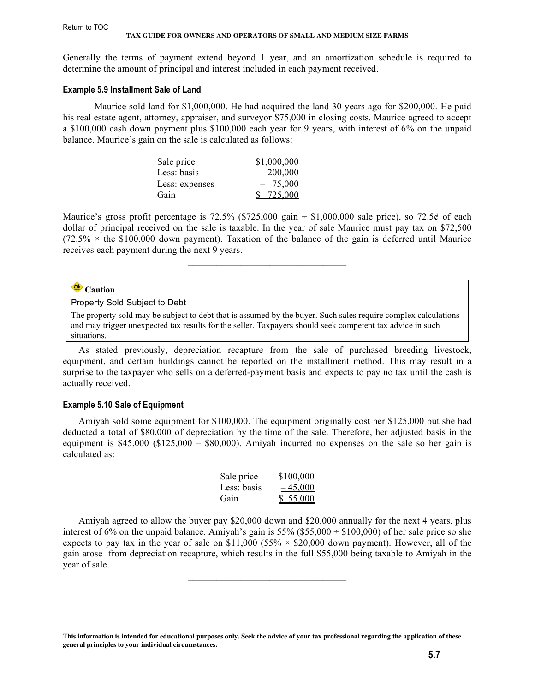Generally the terms of payment extend beyond 1 year, and an amortization schedule is required to determine the amount of principal and interest included in each payment received.

#### **Example 5.9 Installment Sale of Land**

Maurice sold land for \$1,000,000. He had acquired the land 30 years ago for \$200,000. He paid his real estate agent, attorney, appraiser, and surveyor \$75,000 in closing costs. Maurice agreed to accept a \$100,000 cash down payment plus \$100,000 each year for 9 years, with interest of 6% on the unpaid balance. Maurice's gain on the sale is calculated as follows:

| Sale price     | \$1,000,000 |
|----------------|-------------|
| Less: basis    | $-200,000$  |
| Less: expenses | $-75,000$   |
| Gain           | \$725,000   |

Maurice's gross profit percentage is 72.5% (\$725,000 gain  $\div$  \$1,000,000 sale price), so 72.5¢ of each dollar of principal received on the sale is taxable. In the year of sale Maurice must pay tax on \$72,500  $(72.5\% \times$  the \$100,000 down payment). Taxation of the balance of the gain is deferred until Maurice receives each payment during the next 9 years.

 $\overline{\phantom{a}}$  , which is a set of the set of the set of the set of the set of the set of the set of the set of the set of the set of the set of the set of the set of the set of the set of the set of the set of the set of th

# **Caution**

#### Property Sold Subject to Debt

The property sold may be subject to debt that is assumed by the buyer. Such sales require complex calculations and may trigger unexpected tax results for the seller. Taxpayers should seek competent tax advice in such situations.

As stated previously, depreciation recapture from the sale of purchased breeding livestock, equipment, and certain buildings cannot be reported on the installment method. This may result in a surprise to the taxpayer who sells on a deferred-payment basis and expects to pay no tax until the cash is actually received.

#### **Example 5.10 Sale of Equipment**

Amiyah sold some equipment for \$100,000. The equipment originally cost her \$125,000 but she had deducted a total of \$80,000 of depreciation by the time of the sale. Therefore, her adjusted basis in the equipment is \$45,000 (\$125,000 – \$80,000). Amiyah incurred no expenses on the sale so her gain is calculated as:

| Sale price  | \$100,000 |
|-------------|-----------|
| Less: basis | $-45,000$ |
| Gain        | \$55,000  |

Amiyah agreed to allow the buyer pay \$20,000 down and \$20,000 annually for the next 4 years, plus interest of 6% on the unpaid balance. Amiyah's gain is  $55\%$  (\$55,000  $\div$  \$100,000) of her sale price so she expects to pay tax in the year of sale on \$11,000 (55%  $\times$  \$20,000 down payment). However, all of the gain arose from depreciation recapture, which results in the full \$55,000 being taxable to Amiyah in the year of sale.

**This information is intended for educational purposes only. Seek the advice of your tax professional regarding the application of these general principles to your individual circumstances.**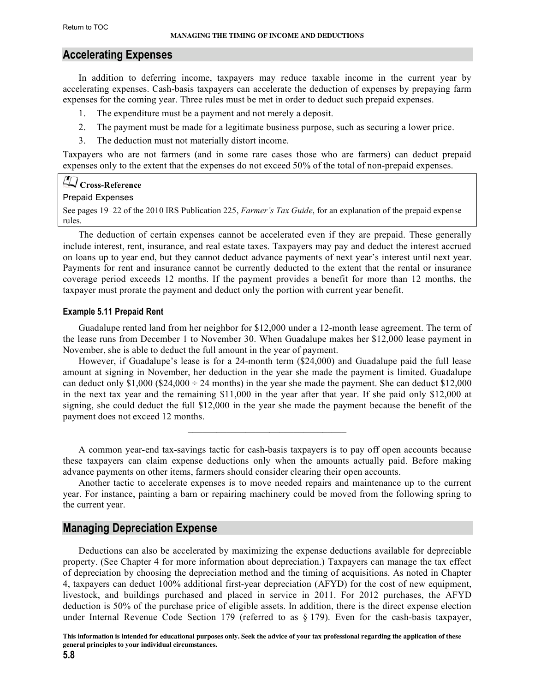# <span id="page-7-0"></span>**Accelerating Expenses**

In addition to deferring income, taxpayers may reduce taxable income in the current year by accelerating expenses. Cash-basis taxpayers can accelerate the deduction of expenses by prepaying farm expenses for the coming year. Three rules must be met in order to deduct such prepaid expenses.

- 1. The expenditure must be a payment and not merely a deposit.
- 2. The payment must be made for a legitimate business purpose, such as securing a lower price.
- 3. The deduction must not materially distort income.

Taxpayers who are not farmers (and in some rare cases those who are farmers) can deduct prepaid expenses only to the extent that the expenses do not exceed 50% of the total of non-prepaid expenses.

#### **Cross-Reference**

#### Prepaid Expenses

[See pages 19–22 of the 2010 IRS Publication 225,](http://www.irs.gov/pub/irs-pdf/p225.pdf) *Farmer's Tax Guide*, for an explanation of the prepaid expense rules.

The deduction of certain expenses cannot be accelerated even if they are prepaid. These generally include interest, rent, insurance, and real estate taxes. Taxpayers may pay and deduct the interest accrued on loans up to year end, but they cannot deduct advance payments of next year's interest until next year. Payments for rent and insurance cannot be currently deducted to the extent that the rental or insurance coverage period exceeds 12 months. If the payment provides a benefit for more than 12 months, the taxpayer must prorate the payment and deduct only the portion with current year benefit.

#### **Example 5.11 Prepaid Rent**

Guadalupe rented land from her neighbor for \$12,000 under a 12-month lease agreement. The term of the lease runs from December 1 to November 30. When Guadalupe makes her \$12,000 lease payment in November, she is able to deduct the full amount in the year of payment.

However, if Guadalupe's lease is for a 24-month term (\$24,000) and Guadalupe paid the full lease amount at signing in November, her deduction in the year she made the payment is limited. Guadalupe can deduct only \$1,000 ( $$24,000 \div 24$  months) in the year she made the payment. She can deduct \$12,000 in the next tax year and the remaining \$11,000 in the year after that year. If she paid only \$12,000 at signing, she could deduct the full \$12,000 in the year she made the payment because the benefit of the payment does not exceed 12 months.

A common year-end tax-savings tactic for cash-basis taxpayers is to pay off open accounts because these taxpayers can claim expense deductions only when the amounts actually paid. Before making advance payments on other items, farmers should consider clearing their open accounts.

 $\mathcal{L}_\text{max}$  and  $\mathcal{L}_\text{max}$  and  $\mathcal{L}_\text{max}$  and  $\mathcal{L}_\text{max}$ 

Another tactic to accelerate expenses is to move needed repairs and maintenance up to the current year. For instance, painting a barn or repairing machinery could be moved from the following spring to the current year.

# **Managing Depreciation Expense**

Deductions can also be accelerated by maximizing the expense deductions available for depreciable property. (See Chapter 4 for more information about depreciation.) Taxpayers can manage the tax effect of depreciation by choosing the depreciation method and the timing of acquisitions. As noted in Chapter 4, taxpayers can deduct 100% additional first-year depreciation (AFYD) for the cost of new equipment, livestock, and buildings purchased and placed in service in 2011. For 2012 purchases, the AFYD deduction is 50% of the purchase price of eligible assets. In addition, there is the direct expense election under Internal Revenue Code Section 179 (referred to as § 179). Even for the cash-basis taxpayer,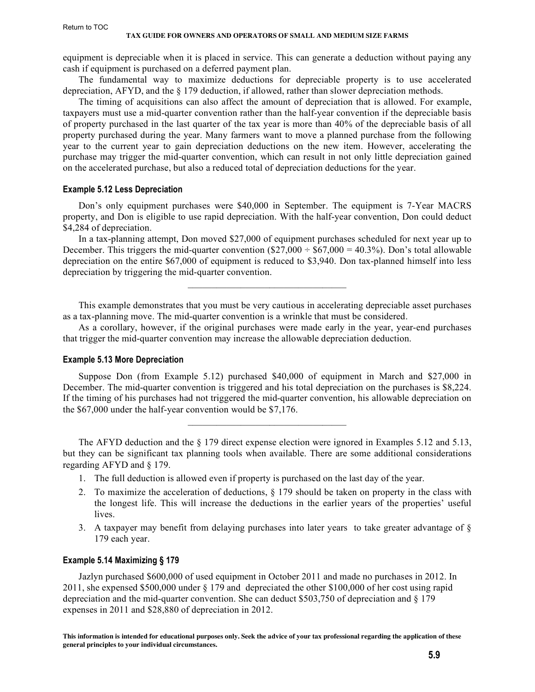equipment is depreciable when it is placed in service. This can generate a deduction without paying any cash if equipment is purchased on a deferred payment plan.

The fundamental way to maximize deductions for depreciable property is to use accelerated depreciation, AFYD, and the § 179 deduction, if allowed, rather than slower depreciation methods.

The timing of acquisitions can also affect the amount of depreciation that is allowed. For example, taxpayers must use a mid-quarter convention rather than the half-year convention if the depreciable basis of property purchased in the last quarter of the tax year is more than 40% of the depreciable basis of all property purchased during the year. Many farmers want to move a planned purchase from the following year to the current year to gain depreciation deductions on the new item. However, accelerating the purchase may trigger the mid-quarter convention, which can result in not only little depreciation gained on the accelerated purchase, but also a reduced total of depreciation deductions for the year.

#### **Example 5.12 Less Depreciation**

Don's only equipment purchases were \$40,000 in September. The equipment is 7-Year MACRS property, and Don is eligible to use rapid depreciation. With the half-year convention, Don could deduct \$4,284 of depreciation.

In a tax-planning attempt, Don moved \$27,000 of equipment purchases scheduled for next year up to December. This triggers the mid-quarter convention  $(\$27,000 \div \$67,000 = 40.3\%)$ . Don's total allowable depreciation on the entire \$67,000 of equipment is reduced to \$3,940. Don tax-planned himself into less depreciation by triggering the mid-quarter convention.

 $\mathcal{L}_\text{max}$  and  $\mathcal{L}_\text{max}$  and  $\mathcal{L}_\text{max}$  and  $\mathcal{L}_\text{max}$ 

This example demonstrates that you must be very cautious in accelerating depreciable asset purchases as a tax-planning move. The mid-quarter convention is a wrinkle that must be considered.

As a corollary, however, if the original purchases were made early in the year, year-end purchases that trigger the mid-quarter convention may increase the allowable depreciation deduction.

#### **Example 5.13 More Depreciation**

Suppose Don (from Example 5.12) purchased \$40,000 of equipment in March and \$27,000 in December. The mid-quarter convention is triggered and his total depreciation on the purchases is \$8,224. If the timing of his purchases had not triggered the mid-quarter convention, his allowable depreciation on the \$67,000 under the half-year convention would be \$7,176.

 $\mathcal{L}_\text{max}$  and  $\mathcal{L}_\text{max}$  and  $\mathcal{L}_\text{max}$  and  $\mathcal{L}_\text{max}$ 

The AFYD deduction and the § 179 direct expense election were ignored in Examples 5.12 and 5.13, but they can be significant tax planning tools when available. There are some additional considerations regarding AFYD and § 179.

- 1. The full deduction is allowed even if property is purchased on the last day of the year.
- 2. To maximize the acceleration of deductions, § 179 should be taken on property in the class with the longest life. This will increase the deductions in the earlier years of the properties' useful lives.
- 3. A taxpayer may benefit from delaying purchases into later years to take greater advantage of  $\S$ 179 each year.

#### **Example 5.14 Maximizing § 179**

Jazlyn purchased \$600,000 of used equipment in October 2011 and made no purchases in 2012. In 2011, she expensed \$500,000 under § 179 and depreciated the other \$100,000 of her cost using rapid depreciation and the mid-quarter convention. She can deduct \$503,750 of depreciation and § 179 expenses in 2011 and \$28,880 of depreciation in 2012.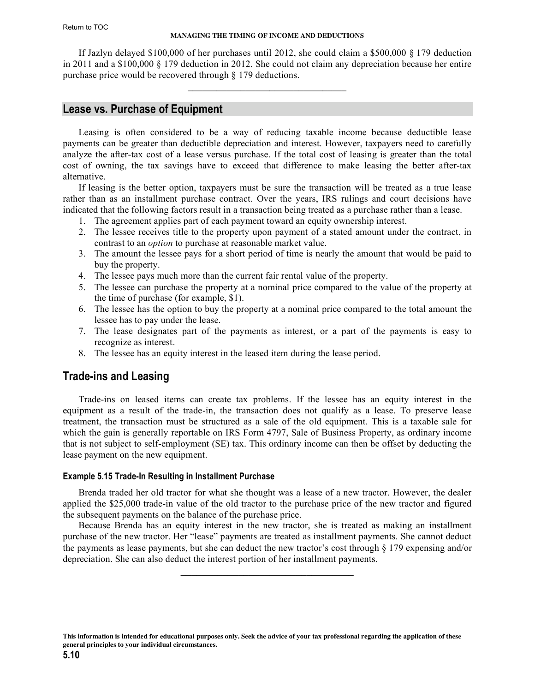#### **MANAGING THE TIMING OF INCOME AND DEDUCTIONS**

<span id="page-9-0"></span>If Jazlyn delayed \$100,000 of her purchases until 2012, she could claim a \$500,000 § 179 deduction in 2011 and a \$100,000 § 179 deduction in 2012. She could not claim any depreciation because her entire purchase price would be recovered through § 179 deductions.

 $\mathcal{L}_\text{max}$  and  $\mathcal{L}_\text{max}$  and  $\mathcal{L}_\text{max}$  and  $\mathcal{L}_\text{max}$ 

# **Lease vs. Purchase of Equipment**

Leasing is often considered to be a way of reducing taxable income because deductible lease payments can be greater than deductible depreciation and interest. However, taxpayers need to carefully analyze the after-tax cost of a lease versus purchase. If the total cost of leasing is greater than the total cost of owning, the tax savings have to exceed that difference to make leasing the better after-tax alternative.

If leasing is the better option, taxpayers must be sure the transaction will be treated as a true lease rather than as an installment purchase contract. Over the years, IRS rulings and court decisions have indicated that the following factors result in a transaction being treated as a purchase rather than a lease.

- 1. The agreement applies part of each payment toward an equity ownership interest.
- 2. The lessee receives title to the property upon payment of a stated amount under the contract, in contrast to an *option* to purchase at reasonable market value.
- 3. The amount the lessee pays for a short period of time is nearly the amount that would be paid to buy the property.
- 4. The lessee pays much more than the current fair rental value of the property.
- 5. The lessee can purchase the property at a nominal price compared to the value of the property at the time of purchase (for example, \$1).
- 6. The lessee has the option to buy the property at a nominal price compared to the total amount the lessee has to pay under the lease.
- 7. The lease designates part of the payments as interest, or a part of the payments is easy to recognize as interest.
- 8. The lessee has an equity interest in the leased item during the lease period.

# **Trade-ins and Leasing**

Trade-ins on leased items can create tax problems. If the lessee has an equity interest in the equipment as a result of the trade-in, the transaction does not qualify as a lease. To preserve lease treatment, the transaction must be structured as a sale of the old equipment. This is a taxable sale for which the gain is generally reportable on IRS Form 4797, Sale of Business Property, as ordinary income that is not subject to self-employment (SE) tax. This ordinary income can then be offset by deducting the lease payment on the new equipment.

#### **Example 5.15 Trade-In Resulting in Installment Purchase**

Brenda traded her old tractor for what she thought was a lease of a new tractor. However, the dealer applied the \$25,000 trade-in value of the old tractor to the purchase price of the new tractor and figured the subsequent payments on the balance of the purchase price.

Because Brenda has an equity interest in the new tractor, she is treated as making an installment purchase of the new tractor. Her "lease" payments are treated as installment payments. She cannot deduct the payments as lease payments, but she can deduct the new tractor's cost through § 179 expensing and/or depreciation. She can also deduct the interest portion of her installment payments.

\_\_\_\_\_\_\_\_\_\_\_\_\_\_\_\_\_\_\_\_\_\_\_\_\_\_\_\_\_\_\_\_\_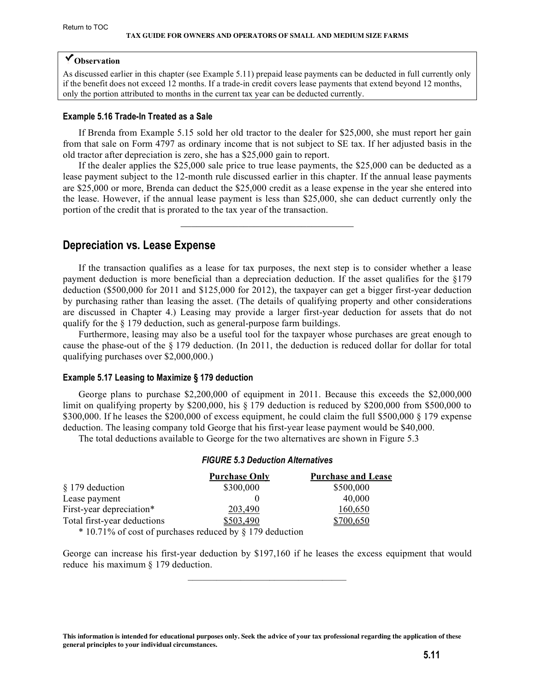# <span id="page-10-0"></span>**Observation**

As discussed earlier in this chapter (see Example 5.11) prepaid lease payments can be deducted in full currently only if the benefit does not exceed 12 months. If a trade-in credit covers lease payments that extend beyond 12 months, only the portion attributed to months in the current tax year can be deducted currently.

#### **Example 5.16 Trade-In Treated as a Sale**

If Brenda from Example 5.15 sold her old tractor to the dealer for \$25,000, she must report her gain from that sale on Form 4797 as ordinary income that is not subject to SE tax. If her adjusted basis in the old tractor after depreciation is zero, she has a \$25,000 gain to report.

If the dealer applies the \$25,000 sale price to true lease payments, the \$25,000 can be deducted as a lease payment subject to the 12-month rule discussed earlier in this chapter. If the annual lease payments are \$25,000 or more, Brenda can deduct the \$25,000 credit as a lease expense in the year she entered into the lease. However, if the annual lease payment is less than \$25,000, she can deduct currently only the portion of the credit that is prorated to the tax year of the transaction.

 $\mathcal{L}_\text{max}$ 

# **Depreciation vs. Lease Expense**

If the transaction qualifies as a lease for tax purposes, the next step is to consider whether a lease payment deduction is more beneficial than a depreciation deduction. If the asset qualifies for the §179 deduction (\$500,000 for 2011 and \$125,000 for 2012), the taxpayer can get a bigger first-year deduction by purchasing rather than leasing the asset. (The details of qualifying property and other considerations are discussed in Chapter 4.) Leasing may provide a larger first-year deduction for assets that do not qualify for the § 179 deduction, such as general-purpose farm buildings.

Furthermore, leasing may also be a useful tool for the taxpayer whose purchases are great enough to cause the phase-out of the  $\S 179$  deduction. (In 2011, the deduction is reduced dollar for dollar for total qualifying purchases over \$2,000,000.)

#### **Example 5.17 Leasing to Maximize § 179 deduction**

George plans to purchase \$2,200,000 of equipment in 2011. Because this exceeds the \$2,000,000 limit on qualifying property by \$200,000, his  $\S 179$  deduction is reduced by \$200,000 from \$500,000 to \$300,000. If he leases the \$200,000 of excess equipment, he could claim the full \$500,000 § 179 expense deduction. The leasing company told George that his first-year lease payment would be \$40,000.

The total deductions available to George for the two alternatives are shown in Figure 5.3

|                                                            | <b>Purchase Only</b> | <b>Purchase and Lease</b> |
|------------------------------------------------------------|----------------------|---------------------------|
| § 179 deduction                                            | \$300,000            | \$500,000                 |
| Lease payment                                              |                      | 40,000                    |
| First-year depreciation*                                   | 203,490              | 160,650                   |
| Total first-year deductions                                | \$503,490            | \$700,650                 |
| $*$ 10.71% of cost of purchases reduced by § 179 deduction |                      |                           |

#### *FIGURE 5.3 Deduction Alternatives*

George can increase his first-year deduction by \$197,160 if he leases the excess equipment that would

reduce his maximum § 179 deduction.

**This information is intended for educational purposes only. Seek the advice of your tax professional regarding the application of these general principles to your individual circumstances.**